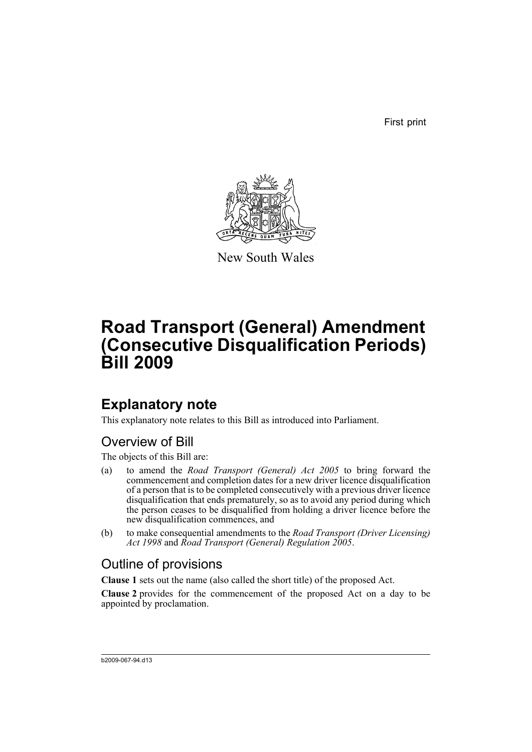First print



New South Wales

# **Road Transport (General) Amendment (Consecutive Disqualification Periods) Bill 2009**

## **Explanatory note**

This explanatory note relates to this Bill as introduced into Parliament.

## Overview of Bill

The objects of this Bill are:

- (a) to amend the *Road Transport (General) Act 2005* to bring forward the commencement and completion dates for a new driver licence disqualification of a person that is to be completed consecutively with a previous driver licence disqualification that ends prematurely, so as to avoid any period during which the person ceases to be disqualified from holding a driver licence before the new disqualification commences, and
- (b) to make consequential amendments to the *Road Transport (Driver Licensing) Act 1998* and *Road Transport (General) Regulation 2005*.

## Outline of provisions

**Clause 1** sets out the name (also called the short title) of the proposed Act.

**Clause 2** provides for the commencement of the proposed Act on a day to be appointed by proclamation.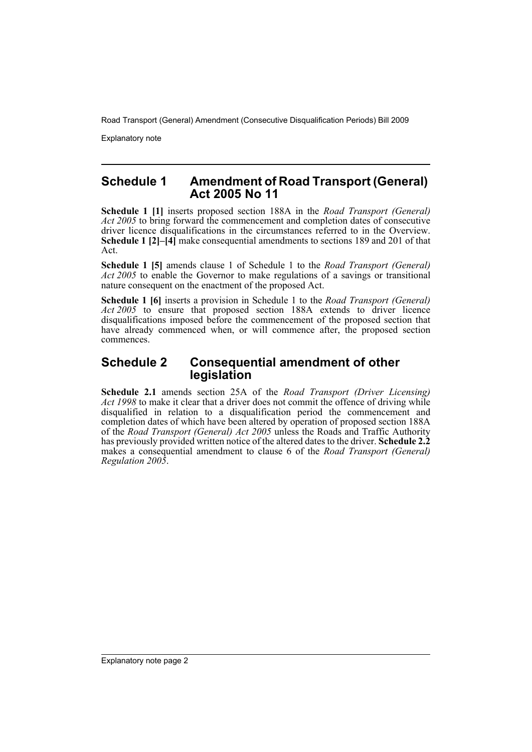Explanatory note

### **Schedule 1 Amendment of Road Transport (General) Act 2005 No 11**

**Schedule 1 [1]** inserts proposed section 188A in the *Road Transport (General) Act 2005* to bring forward the commencement and completion dates of consecutive driver licence disqualifications in the circumstances referred to in the Overview. **Schedule 1 [2]–[4]** make consequential amendments to sections 189 and 201 of that Act.

**Schedule 1 [5]** amends clause 1 of Schedule 1 to the *Road Transport (General) Act 2005* to enable the Governor to make regulations of a savings or transitional nature consequent on the enactment of the proposed Act.

**Schedule 1 [6]** inserts a provision in Schedule 1 to the *Road Transport (General) Act 2005* to ensure that proposed section 188A extends to driver licence disqualifications imposed before the commencement of the proposed section that have already commenced when, or will commence after, the proposed section commences.

## **Schedule 2 Consequential amendment of other legislation**

**Schedule 2.1** amends section 25A of the *Road Transport (Driver Licensing) Act 1998* to make it clear that a driver does not commit the offence of driving while disqualified in relation to a disqualification period the commencement and completion dates of which have been altered by operation of proposed section 188A of the *Road Transport (General) Act 2005* unless the Roads and Traffic Authority has previously provided written notice of the altered dates to the driver. **Schedule 2.2** makes a consequential amendment to clause 6 of the *Road Transport (General) Regulation 2005*.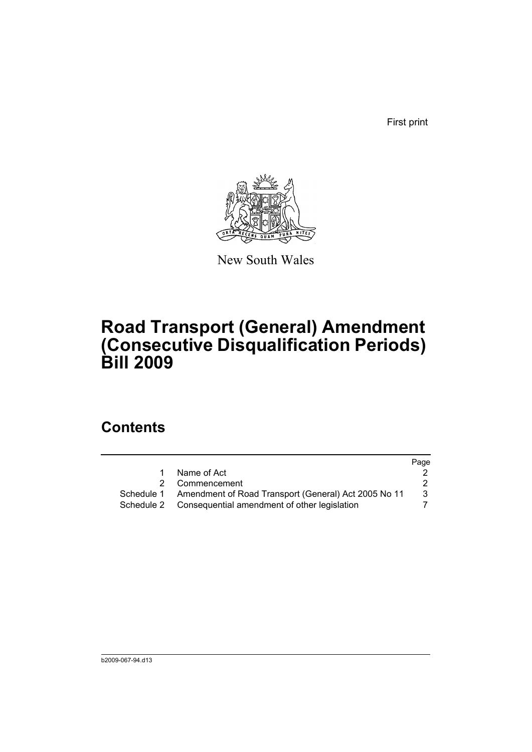First print



New South Wales

# **Road Transport (General) Amendment (Consecutive Disqualification Periods) Bill 2009**

## **Contents**

|    |                                                                 | Page |
|----|-----------------------------------------------------------------|------|
| 1. | Name of Act                                                     |      |
|    | 2 Commencement                                                  |      |
|    | Schedule 1 Amendment of Road Transport (General) Act 2005 No 11 | 3    |
|    | Schedule 2 Consequential amendment of other legislation         |      |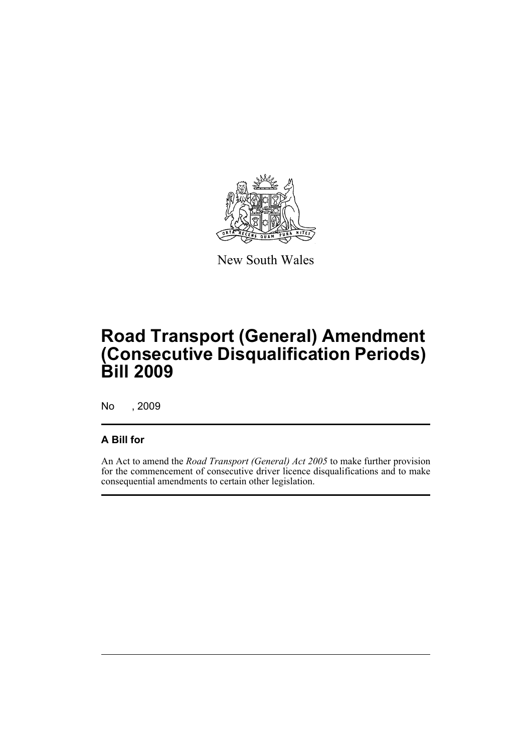

New South Wales

# **Road Transport (General) Amendment (Consecutive Disqualification Periods) Bill 2009**

No , 2009

## **A Bill for**

An Act to amend the *Road Transport (General) Act 2005* to make further provision for the commencement of consecutive driver licence disqualifications and to make consequential amendments to certain other legislation.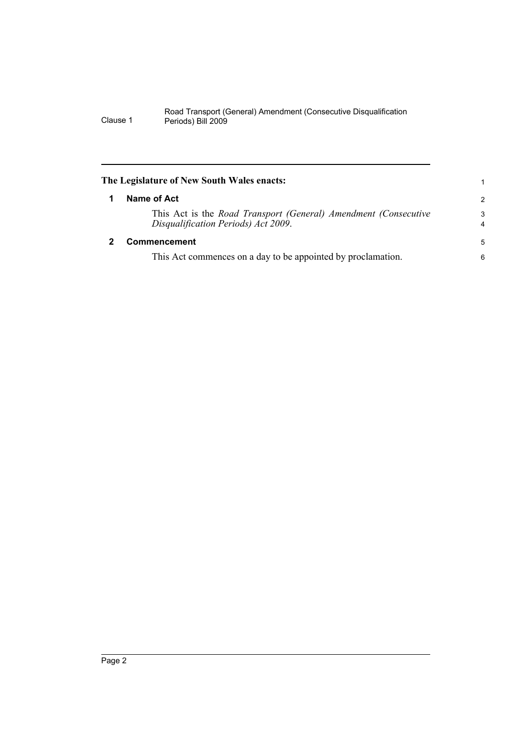<span id="page-5-1"></span><span id="page-5-0"></span>

| The Legislature of New South Wales enacts:                                                             |                     |  |  |
|--------------------------------------------------------------------------------------------------------|---------------------|--|--|
| Name of Act                                                                                            | $\overline{2}$      |  |  |
| This Act is the Road Transport (General) Amendment (Consecutive<br>Disqualification Periods) Act 2009. | 3<br>$\overline{4}$ |  |  |
| Commencement                                                                                           |                     |  |  |
| This Act commences on a day to be appointed by proclamation.                                           | 6                   |  |  |
|                                                                                                        |                     |  |  |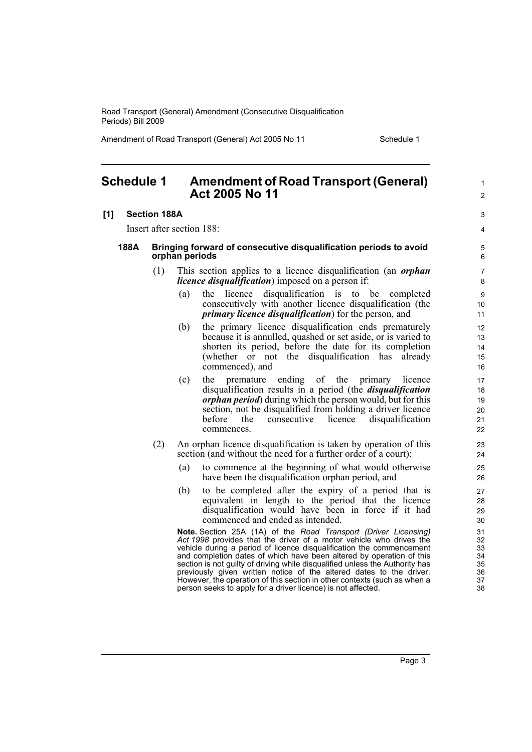Amendment of Road Transport (General) Act 2005 No 11 Schedule 1

1  $\mathfrak{p}$ 

 $\overline{a}$ 4

### <span id="page-6-0"></span>**Schedule 1 Amendment of Road Transport (General) Act 2005 No 11**

#### **[1] Section 188A**

Insert after section 188:

#### **188A Bringing forward of consecutive disqualification periods to avoid orphan periods**

- (1) This section applies to a licence disqualification (an *orphan licence disqualification*) imposed on a person if:
	- (a) the licence disqualification is to be completed consecutively with another licence disqualification (the *primary licence disqualification*) for the person, and
	- (b) the primary licence disqualification ends prematurely because it is annulled, quashed or set aside, or is varied to shorten its period, before the date for its completion (whether or not the disqualification has already commenced), and
	- (c) the premature ending of the primary licence disqualification results in a period (the *disqualification orphan period*) during which the person would, but for this section, not be disqualified from holding a driver licence before the consecutive licence disqualification commences.
- (2) An orphan licence disqualification is taken by operation of this section (and without the need for a further order of a court):
	- (a) to commence at the beginning of what would otherwise have been the disqualification orphan period, and
	- (b) to be completed after the expiry of a period that is equivalent in length to the period that the licence disqualification would have been in force if it had commenced and ended as intended.

**Note.** Section 25A (1A) of the *Road Transport (Driver Licensing)* Act 1998 provides that the driver of a motor vehicle who drives the vehicle during a period of licence disqualification the commencement and completion dates of which have been altered by operation of this section is not quilty of driving while disqualified unless the Authority has previously given written notice of the altered dates to the driver. However, the operation of this section in other contexts (such as when a person seeks to apply for a driver licence) is not affected.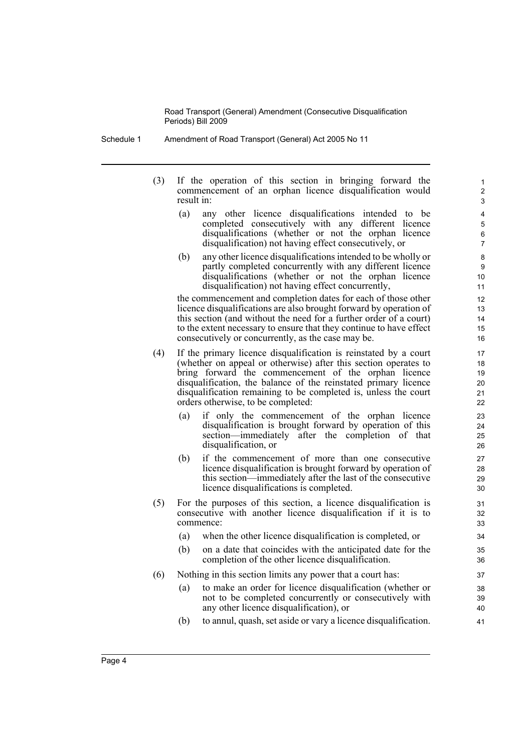- Schedule 1 Amendment of Road Transport (General) Act 2005 No 11
	- (3) If the operation of this section in bringing forward the commencement of an orphan licence disqualification would result in:
		- (a) any other licence disqualifications intended to be completed consecutively with any different licence disqualifications (whether or not the orphan licence disqualification) not having effect consecutively, or

(b) any other licence disqualifications intended to be wholly or partly completed concurrently with any different licence disqualifications (whether or not the orphan licence disqualification) not having effect concurrently,

the commencement and completion dates for each of those other licence disqualifications are also brought forward by operation of this section (and without the need for a further order of a court) to the extent necessary to ensure that they continue to have effect consecutively or concurrently, as the case may be.

- (4) If the primary licence disqualification is reinstated by a court (whether on appeal or otherwise) after this section operates to bring forward the commencement of the orphan licence disqualification, the balance of the reinstated primary licence disqualification remaining to be completed is, unless the court orders otherwise, to be completed:
	- (a) if only the commencement of the orphan licence disqualification is brought forward by operation of this section—immediately after the completion of that disqualification, or
	- (b) if the commencement of more than one consecutive licence disqualification is brought forward by operation of this section—immediately after the last of the consecutive licence disqualifications is completed.
- (5) For the purposes of this section, a licence disqualification is consecutive with another licence disqualification if it is to commence:
	- (a) when the other licence disqualification is completed, or
	- (b) on a date that coincides with the anticipated date for the completion of the other licence disqualification.
- (6) Nothing in this section limits any power that a court has:
	- (a) to make an order for licence disqualification (whether or not to be completed concurrently or consecutively with any other licence disqualification), or
	- (b) to annul, quash, set aside or vary a licence disqualification.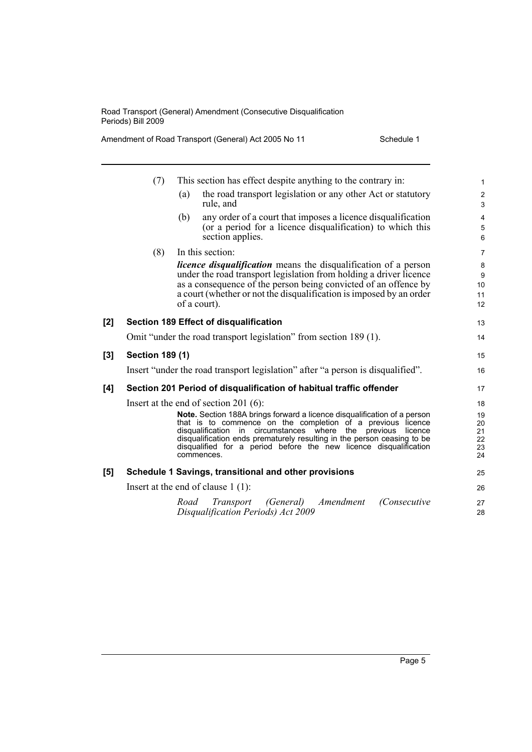Amendment of Road Transport (General) Act 2005 No 11 Schedule 1

|     | (7)                    | This section has effect despite anything to the contrary in:                                                                                                                                                                                                                                                                                                                | $\mathbf{1}$                      |
|-----|------------------------|-----------------------------------------------------------------------------------------------------------------------------------------------------------------------------------------------------------------------------------------------------------------------------------------------------------------------------------------------------------------------------|-----------------------------------|
|     |                        | the road transport legislation or any other Act or statutory<br>(a)<br>rule, and                                                                                                                                                                                                                                                                                            | $\overline{2}$<br>3               |
|     |                        | any order of a court that imposes a licence disqualification<br>(b)<br>(or a period for a licence disqualification) to which this<br>section applies.                                                                                                                                                                                                                       | $\overline{\mathbf{4}}$<br>5<br>6 |
|     | (8)                    | In this section:                                                                                                                                                                                                                                                                                                                                                            | $\overline{7}$                    |
|     |                        | <i>licence disqualification</i> means the disqualification of a person<br>under the road transport legislation from holding a driver licence<br>as a consequence of the person being convicted of an offence by<br>a court (whether or not the disqualification is imposed by an order<br>of a court).                                                                      | 8<br>9<br>10<br>11<br>12          |
| [2] |                        | <b>Section 189 Effect of disqualification</b>                                                                                                                                                                                                                                                                                                                               | 13                                |
|     |                        | Omit "under the road transport legislation" from section 189 (1).                                                                                                                                                                                                                                                                                                           | 14                                |
| [3] | <b>Section 189 (1)</b> |                                                                                                                                                                                                                                                                                                                                                                             | 15                                |
|     |                        | Insert "under the road transport legislation" after "a person is disqualified".                                                                                                                                                                                                                                                                                             | 16                                |
| [4] |                        | Section 201 Period of disqualification of habitual traffic offender                                                                                                                                                                                                                                                                                                         | 17                                |
|     |                        | Insert at the end of section 201 $(6)$ :                                                                                                                                                                                                                                                                                                                                    | 18                                |
|     |                        | Note. Section 188A brings forward a licence disqualification of a person<br>that is to commence on the completion of a previous licence<br>in circumstances where the previous<br>disqualification<br>licence<br>disqualification ends prematurely resulting in the person ceasing to be<br>disqualified for a period before the new licence disqualification<br>commences. | 19<br>20<br>21<br>22<br>23<br>24  |
| [5] |                        | Schedule 1 Savings, transitional and other provisions                                                                                                                                                                                                                                                                                                                       | 25                                |
|     |                        | Insert at the end of clause $1(1)$ :                                                                                                                                                                                                                                                                                                                                        | 26                                |
|     |                        | Amendment<br>Transport<br>(General)<br>Road<br>(Consecutive<br>Disqualification Periods) Act 2009                                                                                                                                                                                                                                                                           | 27<br>28                          |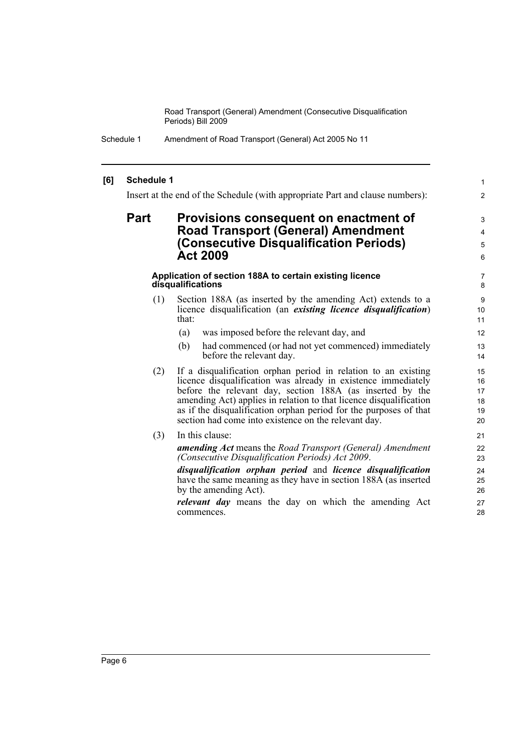#### **[6] Schedule 1**

Insert at the end of the Schedule (with appropriate Part and clause numbers):

1 2

### **Part Provisions consequent on enactment of Road Transport (General) Amendment (Consecutive Disqualification Periods) Act 2009**

#### **Application of section 188A to certain existing licence disqualifications**

- (1) Section 188A (as inserted by the amending Act) extends to a licence disqualification (an *existing licence disqualification*) that:
	- (a) was imposed before the relevant day, and
	- (b) had commenced (or had not yet commenced) immediately before the relevant day.
- (2) If a disqualification orphan period in relation to an existing licence disqualification was already in existence immediately before the relevant day, section 188A (as inserted by the amending Act) applies in relation to that licence disqualification as if the disqualification orphan period for the purposes of that section had come into existence on the relevant day.
- (3) In this clause:

*amending Act* means the *Road Transport (General) Amendment (Consecutive Disqualification Periods) Act 2009*.

*disqualification orphan period* and *licence disqualification* have the same meaning as they have in section 188A (as inserted by the amending Act).

*relevant day* means the day on which the amending Act commences.